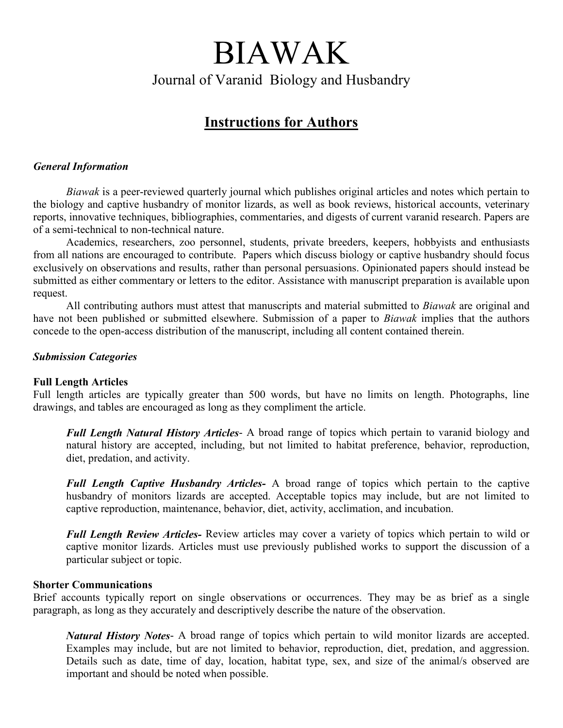# BIAWAK Journal of Varanid Biology and Husbandry

# Instructions for Authors

# General Information

Biawak is a peer-reviewed quarterly journal which publishes original articles and notes which pertain to the biology and captive husbandry of monitor lizards, as well as book reviews, historical accounts, veterinary reports, innovative techniques, bibliographies, commentaries, and digests of current varanid research. Papers are of a semi-technical to non-technical nature.

Academics, researchers, zoo personnel, students, private breeders, keepers, hobbyists and enthusiasts from all nations are encouraged to contribute. Papers which discuss biology or captive husbandry should focus exclusively on observations and results, rather than personal persuasions. Opinionated papers should instead be submitted as either commentary or letters to the editor. Assistance with manuscript preparation is available upon request.

All contributing authors must attest that manuscripts and material submitted to *Biawak* are original and have not been published or submitted elsewhere. Submission of a paper to *Biawak* implies that the authors concede to the open-access distribution of the manuscript, including all content contained therein.

# Submission Categories

### Full Length Articles

Full length articles are typically greater than 500 words, but have no limits on length. Photographs, line drawings, and tables are encouraged as long as they compliment the article.

Full Length Natural History Articles- A broad range of topics which pertain to varanid biology and natural history are accepted, including, but not limited to habitat preference, behavior, reproduction, diet, predation, and activity.

Full Length Captive Husbandry Articles- A broad range of topics which pertain to the captive husbandry of monitors lizards are accepted. Acceptable topics may include, but are not limited to captive reproduction, maintenance, behavior, diet, activity, acclimation, and incubation.

Full Length Review Articles- Review articles may cover a variety of topics which pertain to wild or captive monitor lizards. Articles must use previously published works to support the discussion of a particular subject or topic.

### Shorter Communications

Brief accounts typically report on single observations or occurrences. They may be as brief as a single paragraph, as long as they accurately and descriptively describe the nature of the observation.

Natural History Notes- A broad range of topics which pertain to wild monitor lizards are accepted. Examples may include, but are not limited to behavior, reproduction, diet, predation, and aggression. Details such as date, time of day, location, habitat type, sex, and size of the animal/s observed are important and should be noted when possible.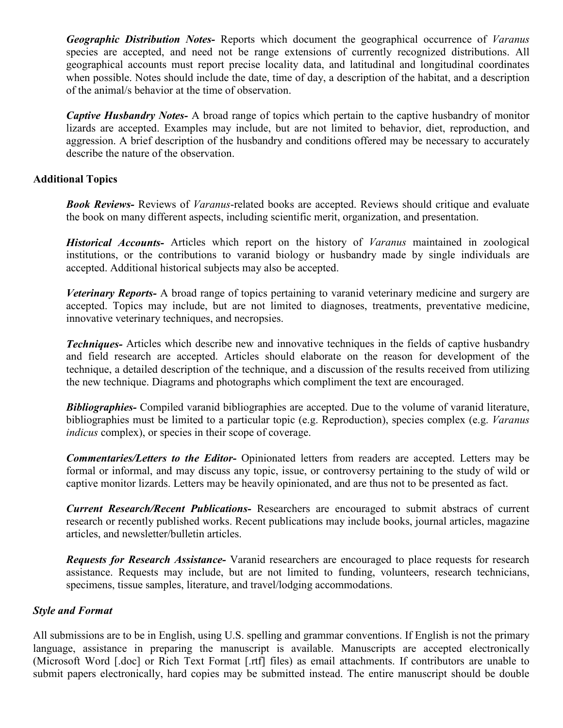Geographic Distribution Notes- Reports which document the geographical occurrence of Varanus species are accepted, and need not be range extensions of currently recognized distributions. All geographical accounts must report precise locality data, and latitudinal and longitudinal coordinates when possible. Notes should include the date, time of day, a description of the habitat, and a description of the animal/s behavior at the time of observation.

Captive Husbandry Notes- A broad range of topics which pertain to the captive husbandry of monitor lizards are accepted. Examples may include, but are not limited to behavior, diet, reproduction, and aggression. A brief description of the husbandry and conditions offered may be necessary to accurately describe the nature of the observation.

# Additional Topics

**Book Reviews-** Reviews of *Varanus*-related books are accepted. Reviews should critique and evaluate the book on many different aspects, including scientific merit, organization, and presentation.

Historical Accounts- Articles which report on the history of *Varanus* maintained in zoological institutions, or the contributions to varanid biology or husbandry made by single individuals are accepted. Additional historical subjects may also be accepted.

Veterinary Reports- A broad range of topics pertaining to varanid veterinary medicine and surgery are accepted. Topics may include, but are not limited to diagnoses, treatments, preventative medicine, innovative veterinary techniques, and necropsies.

**Techniques-** Articles which describe new and innovative techniques in the fields of captive husbandry and field research are accepted. Articles should elaborate on the reason for development of the technique, a detailed description of the technique, and a discussion of the results received from utilizing the new technique. Diagrams and photographs which compliment the text are encouraged.

**Bibliographies-** Compiled varanid bibliographies are accepted. Due to the volume of varanid literature, bibliographies must be limited to a particular topic (e.g. Reproduction), species complex (e.g. Varanus indicus complex), or species in their scope of coverage.

Commentaries/Letters to the Editor- Opinionated letters from readers are accepted. Letters may be formal or informal, and may discuss any topic, issue, or controversy pertaining to the study of wild or captive monitor lizards. Letters may be heavily opinionated, and are thus not to be presented as fact.

Current Research/Recent Publications- Researchers are encouraged to submit abstracs of current research or recently published works. Recent publications may include books, journal articles, magazine articles, and newsletter/bulletin articles.

Requests for Research Assistance- Varanid researchers are encouraged to place requests for research assistance. Requests may include, but are not limited to funding, volunteers, research technicians, specimens, tissue samples, literature, and travel/lodging accommodations.

### Style and Format

All submissions are to be in English, using U.S. spelling and grammar conventions. If English is not the primary language, assistance in preparing the manuscript is available. Manuscripts are accepted electronically (Microsoft Word [.doc] or Rich Text Format [.rtf] files) as email attachments. If contributors are unable to submit papers electronically, hard copies may be submitted instead. The entire manuscript should be double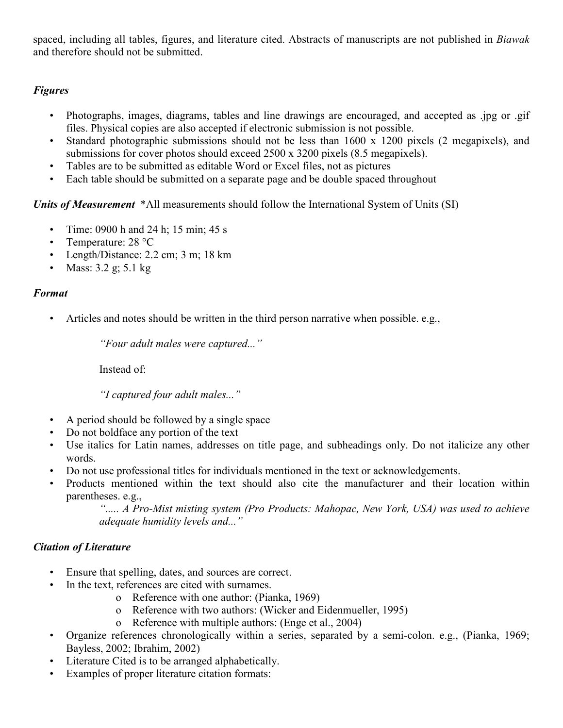spaced, including all tables, figures, and literature cited. Abstracts of manuscripts are not published in Biawak and therefore should not be submitted.

# Figures

- Photographs, images, diagrams, tables and line drawings are encouraged, and accepted as .jpg or .gif files. Physical copies are also accepted if electronic submission is not possible.
- Standard photographic submissions should not be less than 1600 x 1200 pixels (2 megapixels), and submissions for cover photos should exceed 2500 x 3200 pixels (8.5 megapixels).
- Tables are to be submitted as editable Word or Excel files, not as pictures
- Each table should be submitted on a separate page and be double spaced throughout

Units of Measurement \*All measurements should follow the International System of Units (SI)

- Time: 0900 h and 24 h; 15 min; 45 s
- Temperature: 28 °C
- Length/Distance: 2.2 cm; 3 m; 18 km
- Mass: 3.2 g; 5.1 kg

# Format

• Articles and notes should be written in the third person narrative when possible. e.g.,

"Four adult males were captured..."

Instead of:

"I captured four adult males..."

- A period should be followed by a single space
- Do not boldface any portion of the text
- Use italics for Latin names, addresses on title page, and subheadings only. Do not italicize any other words.
- Do not use professional titles for individuals mentioned in the text or acknowledgements.
- Products mentioned within the text should also cite the manufacturer and their location within parentheses. e.g.,

"..... A Pro-Mist misting system (Pro Products: Mahopac, New York, USA) was used to achieve adequate humidity levels and..."

# Citation of Literature

- Ensure that spelling, dates, and sources are correct.
- In the text, references are cited with surnames.
	- o Reference with one author: (Pianka, 1969)
	- o Reference with two authors: (Wicker and Eidenmueller, 1995)
	- o Reference with multiple authors: (Enge et al., 2004)
- Organize references chronologically within a series, separated by a semi-colon. e.g., (Pianka, 1969; Bayless, 2002; Ibrahim, 2002)
- Literature Cited is to be arranged alphabetically.
- Examples of proper literature citation formats: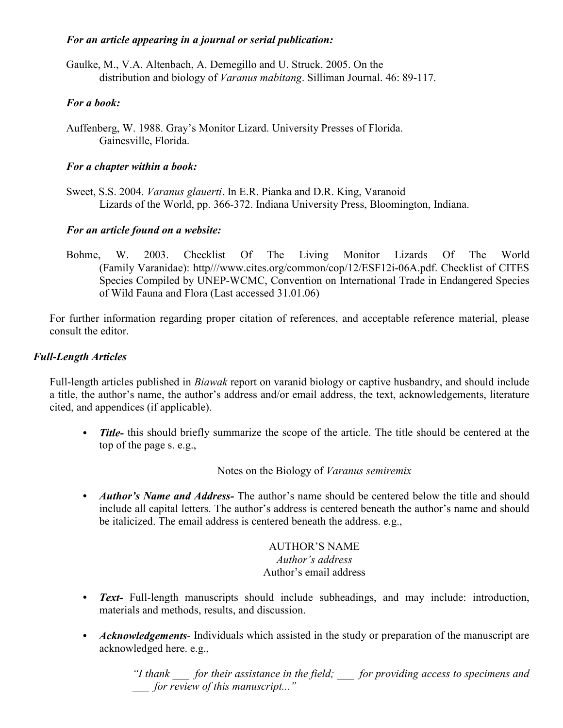# For an article appearing in a journal or serial publication:

Gaulke, M., V.A. Altenbach, A. Demegillo and U. Struck. 2005. On the distribution and biology of *Varanus mabitang*. Silliman Journal. 46: 89-117.

# For a book:

Auffenberg, W. 1988. Gray's Monitor Lizard. University Presses of Florida. Gainesville, Florida.

# For a chapter within a book:

Sweet, S.S. 2004. Varanus glauerti. In E.R. Pianka and D.R. King, Varanoid Lizards of the World, pp. 366-372. Indiana University Press, Bloomington, Indiana.

# For an article found on a website:

Bohme, W. 2003. Checklist Of The Living Monitor Lizards Of The World (Family Varanidae): http///www.cites.org/common/cop/12/ESF12i-06A.pdf. Checklist of CITES Species Compiled by UNEP-WCMC, Convention on International Trade in Endangered Species of Wild Fauna and Flora (Last accessed 31.01.06)

For further information regarding proper citation of references, and acceptable reference material, please consult the editor.

# Full-Length Articles

Full-length articles published in Biawak report on varanid biology or captive husbandry, and should include a title, the author's name, the author's address and/or email address, the text, acknowledgements, literature cited, and appendices (if applicable).

• Title- this should briefly summarize the scope of the article. The title should be centered at the top of the page s. e.g.,

Notes on the Biology of Varanus semiremix

• *Author's Name and Address*- The author's name should be centered below the title and should include all capital letters. The author's address is centered beneath the author's name and should be italicized. The email address is centered beneath the address. e.g.,

> AUTHOR'S NAME Author's address Author's email address

- Text- Full-length manuscripts should include subheadings, and may include: introduction, materials and methods, results, and discussion.
- Acknowledgements- Individuals which assisted in the study or preparation of the manuscript are acknowledged here. e.g.,

"I thank  $\qquad$  for their assistance in the field;  $\qquad$  for providing access to specimens and for review of this manuscript..."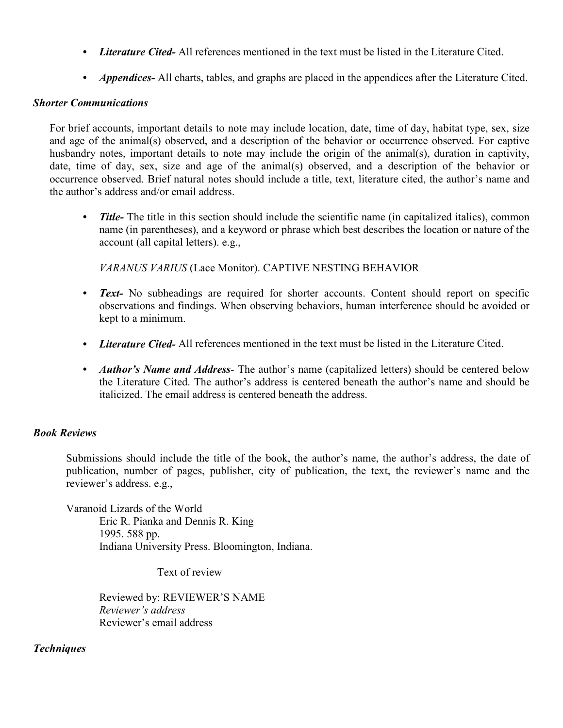- *Literature Cited*-All references mentioned in the text must be listed in the Literature Cited.
- *Appendices* All charts, tables, and graphs are placed in the appendices after the Literature Cited.

# Shorter Communications

For brief accounts, important details to note may include location, date, time of day, habitat type, sex, size and age of the animal(s) observed, and a description of the behavior or occurrence observed. For captive husbandry notes, important details to note may include the origin of the animal(s), duration in captivity, date, time of day, sex, size and age of the animal(s) observed, and a description of the behavior or occurrence observed. Brief natural notes should include a title, text, literature cited, the author's name and the author's address and/or email address.

• Title- The title in this section should include the scientific name (in capitalized italics), common name (in parentheses), and a keyword or phrase which best describes the location or nature of the account (all capital letters). e.g.,

VARANUS VARIUS (Lace Monitor). CAPTIVE NESTING BEHAVIOR

- Text- No subheadings are required for shorter accounts. Content should report on specific observations and findings. When observing behaviors, human interference should be avoided or kept to a minimum.
- Literature Cited- All references mentioned in the text must be listed in the Literature Cited.
- *Author's Name and Address* The author's name (capitalized letters) should be centered below the Literature Cited. The author's address is centered beneath the author's name and should be italicized. The email address is centered beneath the address.

# Book Reviews

Submissions should include the title of the book, the author's name, the author's address, the date of publication, number of pages, publisher, city of publication, the text, the reviewer's name and the reviewer's address. e.g.,

 Varanoid Lizards of the World Eric R. Pianka and Dennis R. King 1995. 588 pp. Indiana University Press. Bloomington, Indiana.

Text of review

Reviewed by: REVIEWER'S NAME Reviewer's address Reviewer's email address

### **Techniques**